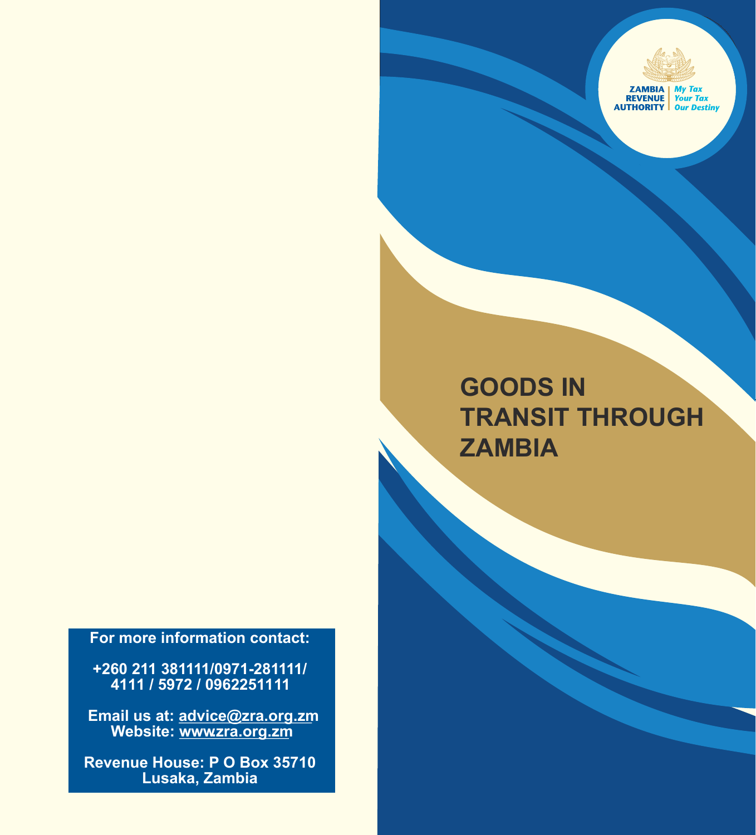

## **GOODS IN TRANSIT THROUGH ZAMBIA**

**For more information contact:**

**+260 211 381111/0971-281111/ 4111 / 5972 / 0962251111**

**Email us at: advice@zra.org.zm** Website: www.zra.org.zm

**Revenue House: P O Box 35710 Lusaka, Zambia**